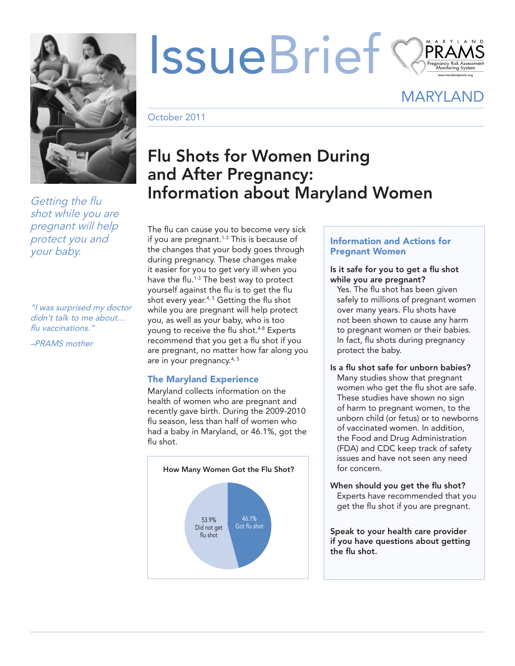

*Getting the flu shot while you are pregnant will help protect you and your baby.*

*"I was surprised my doctor didn't talk to me about… flu vaccinations."*

*–PRAMS mother*

# IssueBrief

MARYLAND

October 2011

# Flu Shots for Women During and After Pregnancy: Information about Maryland Women

The flu can cause you to become very sick if you are pregnant.<sup>1-3</sup> This is because of the changes that your body goes through during pregnancy. These changes make it easier for you to get very ill when you have the flu.<sup>1-3</sup> The best way to protect yourself against the flu is to get the flu shot every year.<sup>4, 5</sup> Getting the flu shot while you are pregnant will help protect you, as well as your baby, who is too young to receive the flu shot.4-8 Experts recommend that you get a flu shot if you are pregnant, no matter how far along you are in your pregnancy.4, 5

# The Maryland Experience

Maryland collects information on the health of women who are pregnant and recently gave birth. During the 2009-2010 flu season, less than half of women who had a baby in Maryland, or 46.1%, got the flu shot.



# Information and Actions for Pregnant Women

#### Is it safe for you to get a flu shot while you are pregnant?

Yes. The flu shot has been given safely to millions of pregnant women over many years. Flu shots have not been shown to cause any harm to pregnant women or their babies. In fact, flu shots during pregnancy protect the baby.

#### Is a flu shot safe for unborn babies? Many studies show that pregnant women who get the flu shot are safe. These studies have shown no sign of harm to pregnant women, to the unborn child (or fetus) or to newborns of vaccinated women. In addition, the Food and Drug Administration (FDA) and CDC keep track of safety issues and have not seen any need for concern.

When should you get the flu shot? Experts have recommended that you get the flu shot if you are pregnant.

Speak to your health care provider if you have questions about getting the flu shot.